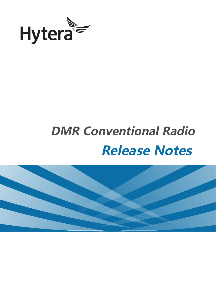

# **DMR Conventional Radio Release Notes**

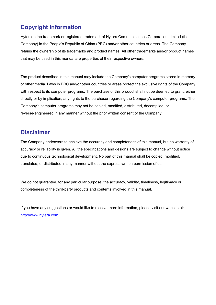### **Copyright Information**

Hytera is the trademark or registered trademark of Hytera Communications Corporation Limited (the Company) in the People's Republic of China (PRC) and/or other countries or areas. The Company retains the ownership of its trademarks and product names. All other trademarks and/or product names that may be used in this manual are properties of their respective owners.

The product described in this manual may include the Company's computer programs stored in memory or other media. Laws in PRC and/or other countries or areas protect the exclusive rights of the Company with respect to its computer programs. The purchase of this product shall not be deemed to grant, either directly or by implication, any rights to the purchaser regarding the Company's computer programs. The Company's computer programs may not be copied, modified, distributed, decompiled, or reverse-engineered in any manner without the prior written consent of the Company.

### **Disclaimer**

The Company endeavors to achieve the accuracy and completeness of this manual, but no warranty of accuracy or reliability is given. All the specifications and designs are subject to change without notice due to continuous technological development. No part of this manual shall be copied, modified, translated, or distributed in any manner without the express written permission of us.

We do not guarantee, for any particular purpose, the accuracy, validity, timeliness, legitimacy or completeness of the third-party products and contents involved in this manual.

If you have any suggestions or would like to receive more information, please visit our website at: [http://www.hytera.com.](http://www.hytera.com/)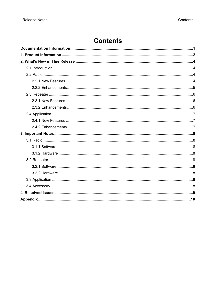### **Contents**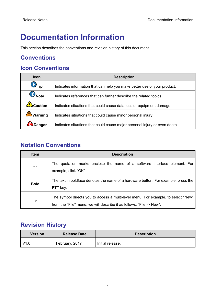# <span id="page-3-0"></span>**Documentation Information**

This section describes the conventions and revision history of this document.

### **Conventions**

### **Icon Conventions**

| <b>Icon</b>                                                                                           | <b>Description</b>                                                         |  |
|-------------------------------------------------------------------------------------------------------|----------------------------------------------------------------------------|--|
| $\bigcirc$ <sub>Tip</sub><br>Indicates information that can help you make better use of your product. |                                                                            |  |
| Note<br>Indicates references that can further describe the related topics.                            |                                                                            |  |
| $\mathbf{?}$ Caution                                                                                  | Indicates situations that could cause data loss or equipment damage.       |  |
| <b>AVarning</b>                                                                                       | Indicates situations that could cause minor personal injury.               |  |
| Danger                                                                                                | Indicates situations that could cause major personal injury or even death. |  |

### **Notation Conventions**

| <b>Item</b>  | <b>Description</b>                                                                                                                                        |  |
|--------------|-----------------------------------------------------------------------------------------------------------------------------------------------------------|--|
| $\mathbf{u}$ | The quotation marks enclose the name of a software interface element. For<br>example, click "OK".                                                         |  |
| <b>Bold</b>  | The text in boldface denotes the name of a hardware button. For example, press the<br><b>PTT</b> key.                                                     |  |
| ->           | The symbol directs you to access a multi-level menu. For example, to select "New"<br>from the "File" menu, we will describe it as follows: "File -> New". |  |

### **Revision History**

| <b>Version</b> | <b>Release Date</b> | <b>Description</b> |
|----------------|---------------------|--------------------|
| V1.0           | February, 2017      | Initial release.   |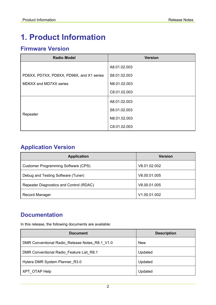# <span id="page-4-0"></span>**1. Product Information**

### **Firmware Version**

| <b>Radio Model</b>                        | <b>Version</b> |
|-------------------------------------------|----------------|
|                                           | A8.01.02.003   |
| PD6XX, PD7XX, PD8XX, PD98X, and X1 series | S8.01.02.003   |
| MD6XX and MD7XX series                    | N8.01.02.003   |
|                                           | C8.01.02.003   |
|                                           | A8.01.02.003   |
|                                           | S8.01.02.003   |
| Repeater                                  | N8.01.02.003   |
|                                           | C8.01.02.003   |

### **Application Version**

| <b>Application</b>                      | <b>Version</b> |
|-----------------------------------------|----------------|
| Customer Programming Software (CPS)     | V8.01.02.002   |
| Debug and Testing Software (Tuner)      | V8.00.01.005   |
| Repeater Diagnostics and Control (RDAC) | V8.00.01.005   |
| Record Manager                          | V1.00.01.002   |

### **Documentation**

In this release, the following documents are available:

| <b>Document</b>                                | <b>Description</b> |
|------------------------------------------------|--------------------|
| DMR Conventional Radio_Release Notes_R8.1_V1.0 | <b>New</b>         |
| DMR Conventional Radio Feature List R8.1       | Updated            |
| Hytera DMR System Planner R3.0                 | Updated            |
| XPT OTAP Help                                  | Updated            |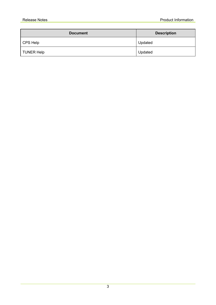| <b>Document</b> | <b>Description</b> |
|-----------------|--------------------|
| CPS Help        | Updated            |
| TUNER Help      | Updated            |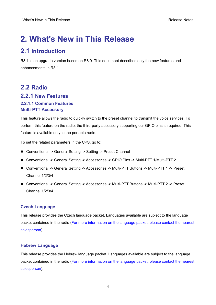## <span id="page-6-0"></span>**2. What's New in This Release**

### <span id="page-6-1"></span>**2.1 Introduction**

R8.1 is an upgrade version based on R8.0. This document describes only the new features and enhancements in R8.1.

### <span id="page-6-2"></span>**2.2 Radio 2.2.1 New Features**

### <span id="page-6-3"></span>**2.2.1.1 Common Features Multi-PTT Accessory**

This feature allows the radio to quickly switch to the preset channel to transmit the voice services. To perform this feature on the radio, the third-party accessory supporting our GPIO pins is required. This feature is available only to the portable radio.

To set the related parameters in the CPS, go to:

- Conventional -> General Setting -> Setting -> Preset Channel
- Conventional -> General Setting -> Accessories -> GPIO Pins -> Multi-PTT 1/Multi-PTT 2
- Conventional -> General Setting -> Accessories -> Multi-PTT Buttons -> Multi-PTT 1 -> Preset Channel 1/2/3/4
- Conventional -> General Setting -> Accessories -> Multi-PTT Buttons -> Multi-PTT 2 -> Preset Channel 1/2/3/4

#### **Czech Language**

This release provides the Czech language packet. Languages available are subject to the language packet contained in the radio (For more information on the language packet, please contact the nearest salesperson).

#### **Hebrew Language**

This release provides the Hebrew language packet. Languages available are subject to the language packet contained in the radio (For more information on the language packet, please contact the nearest salesperson).

4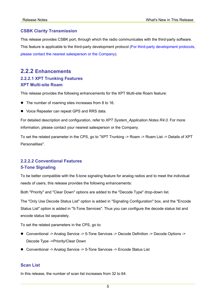#### **CSBK Clarity Transmission**

This release provides CSBK port, through which the radio communicates with the third-party software. This feature is applicable to the third-party development protocol (For third-party development protocols, please contact the nearest salesperson or the Company).

### <span id="page-7-0"></span>**2.2.2 Enhancements 2.2.2.1 XPT Trunking Features**

#### **XPT Multi-site Roam**

This release provides the following enhancements for the XPT Multi-site Roam feature:

- The number of roaming sites increases from 8 to 16.
- Voice Repeater can repeat GPS and RRS data.

For detailed description and configuration, refer to *XPT System\_Application Notes R4.0.* For more information, please contact your nearest salesperson or the Company.

To set the related parameter in the CPS, go to "XPT Trunking -> Roam -> Roam List -> Details of XPT Personalities".

#### **2.2.2.2 Conventional Features 5-Tone Signaling**

To be better compatible with the 5-tone signaling feature for analog radios and to meet the individual needs of users, this release provides the following enhancements:

Both "Priority" and "Clear Down" options are added to the "Decode Type" drop-down list.

The "Only Use Decode Status List" option is added in "Signaling Configuration" box, and the "Encode Status List" option is added in "5-Tone Services". Thus you can configure the decode status list and encode status list separately.

To set the related parameters in the CPS, go to:

- Conventional -> Analog Service -> 5-Tone Services -> Decode Definition -> Decode Options -> Decode Type ->Priority/Clear Down
- Conventional -> Analog Service -> 5-Tone Services -> Encode Status List

#### **Scan List**

In this release, the number of scan list increases from 32 to 64.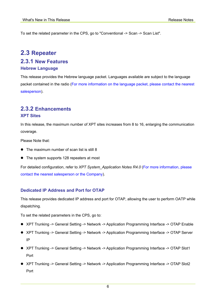To set the related parameter in the CPS, go to "Conventional -> Scan -> Scan List".

### <span id="page-8-0"></span>**2.3 Repeater**

#### <span id="page-8-1"></span>**2.3.1 New Features Hebrew Language**

This release provides the Hebrew language packet. Languages available are subject to the language packet contained in the radio (For more information on the language packet, please contact the nearest salesperson).

#### <span id="page-8-2"></span>**2.3.2 Enhancements XPT Sites**

In this release, the maximum number of XPT sites increases from 8 to 16, enlarging the communication coverage.

Please Note that:

- The maximum number of scan list is still 8
- The system supports 128 repeaters at most

For detailed configuration, refer to *XPT System\_Application Notes R4.0* (For more information, please contact the nearest salesperson or the Company).

#### **Dedicated IP Address and Port for OTAP**

This release provides dedicated IP address and port for OTAP, allowing the user to perform OATP while dispatching.

To set the related parameters in the CPS, go to:

- XPT Trunking -> General Setting -> Network -> Application Programming Interface -> OTAP Enable
- XPT Trunking -> General Setting -> Network -> Application Programming Interface -> OTAP Server IP
- XPT Trunking -> General Setting -> Network -> Application Programming Interface -> OTAP Slot1 Port
- XPT Trunking -> General Setting -> Network -> Application Programming Interface -> OTAP Slot2 Port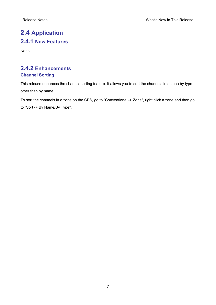### <span id="page-9-1"></span><span id="page-9-0"></span>**2.4 Application 2.4.1 New Features**

None.

### <span id="page-9-2"></span>**2.4.2 Enhancements Channel Sorting**

This release enhances the channel sorting feature. It allows you to sort the channels in a zone by type other than by name.

To sort the channels in a zone on the CPS, go to "Conventional -> Zone", right click a zone and then go to "Sort -> By Name/By Type".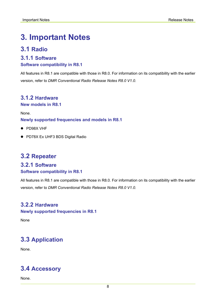# <span id="page-10-0"></span>**3. Important Notes**

### <span id="page-10-1"></span>**3.1 Radio**

#### <span id="page-10-2"></span>**3.1.1 Software**

#### **Software compatibility in R8.1**

All features in R8.1 are compatible with those in R8.0. For information on its compatibility with the earlier version, refer to *DMR Conventional Radio Release Notes R8.0 V1.0*.

#### <span id="page-10-3"></span>**3.1.2 Hardware**

**New models in R8.1**

None.

**Newly supported frequencies and models in R8.1**

- PD98X VHF
- PD78X Ex UHF3 BDS Digital Radio

### <span id="page-10-4"></span>**3.2 Repeater**

### <span id="page-10-5"></span>**3.2.1 Software**

#### **Software compatibility in R8.1**

All features in R8.1 are compatible with those in R8.0. For information on its compatibility with the earlier version, refer to *DMR Conventional Radio Release Notes R8.0 V1.0*.

### <span id="page-10-6"></span>**3.2.2 Hardware**

**Newly supported frequencies in R8.1**

None

### <span id="page-10-7"></span>**3.3 Application**

None.

### <span id="page-10-8"></span>**3.4 Accessory**

None.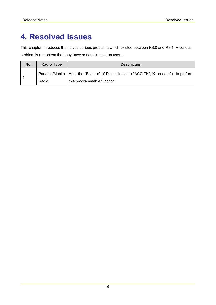# <span id="page-11-0"></span>**4. Resolved Issues**

This chapter introduces the solved serious problems which existed between R8.0 and R8.1. A serious problem is a problem that may have serious impact on users.

| No. | <b>Radio Type</b> | <b>Description</b>                                                                            |
|-----|-------------------|-----------------------------------------------------------------------------------------------|
|     |                   | Portable/Mobile   After the "Feature" of Pin 11 is set to "ACC TK", X1 series fail to perform |
|     | Radio             | this programmable function.                                                                   |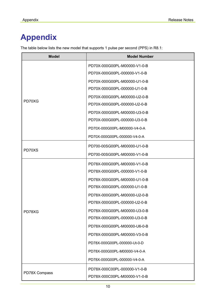# <span id="page-12-0"></span>**Appendix**

The table below lists the new model that supports 1 pulse per second (PPS) in R8.1:

| <b>Model</b>  | <b>Model Number</b>          |
|---------------|------------------------------|
|               | PD70X-000G00PL-M00000-V1-0-B |
|               | PD70X-000G00PL-000000-V1-0-B |
|               | PD70X-000G00PL-M00000-U1-0-B |
|               | PD70X-000G00PL-000000-U1-0-B |
|               | PD70X-000G00PL-M00000-U2-0-B |
| PD70XG        | PD70X-000G00PL-000000-U2-0-B |
|               | PD70X-000G00PL-M00000-U3-0-B |
|               | PD70X-000G00PL-000000-U3-0-B |
|               | PD70X-000G00PL-M00000-V4-0-A |
|               | PD70X-000G00PL-000000-V4-0-A |
|               | PD700-00SG00PL-M00000-U1-0-B |
| PD70XS        | PD700-00SG00PL-M00000-V1-0-B |
|               | PD78X-000G00PL-M00000-V1-0-B |
|               | PD78X-000G00PL-000000-V1-0-B |
|               | PD78X-000G00PL-M00000-U1-0-B |
|               | PD78X-000G00PL-000000-U1-0-B |
|               | PD78X-000G00PL-M00000-U2-0-B |
|               | PD78X-000G00PL-000000-U2-0-B |
| PD78XG        | PD78X-000G00PL-M00000-U3-0-B |
|               | PD78X-000G00PL-000000-U3-0-B |
|               | PD78X-000G00PL-M00000-U6-0-B |
|               | PD78X-000G00PL-M00000-V3-0-B |
|               | PD78X-000G00PL-000000-Ut-0-D |
|               | PD78X-000G00PL-M00000-V4-0-A |
|               | PD78X-000G00PL-000000-V4-0-A |
| PD78X Compass | PD78X-000C00PL-000000-V1-0-B |
|               | PD78X-000C00PL-M00000-V1-0-B |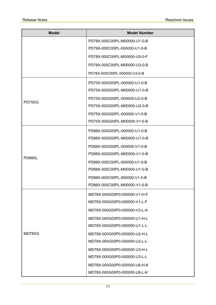| <b>Model</b> | <b>Model Number</b>          |
|--------------|------------------------------|
|              | PD78X-000C00PL-M00000-U1-0-B |
|              | PD78X-000C00PL-000000-U1-0-B |
|              | PD78X-000C00PL-M00000-U5-0-F |
|              | PD78X-000C00PL-M00000-U3-0-B |
|              | PD78X-000C00PL-000000-U3-0-B |
|              | PD75X-000G00PL-000000-U1-0-B |
|              | PD75X-000G00PL-M00000-U1-0-B |
|              | PD75X-000G00PL-000000-U2-0-B |
| PD75XG       | PD75X-000G00PL-M00000-U2-0-B |
|              | PD75X-000G00PL-000000-V1-0-B |
|              | PD75X-000G00PL-M00000-V1-0-B |
|              | PD88X-000G00PL-000000-U1-0-B |
|              | PD88X-000G00PL-M00000-U1-0-B |
|              | PD88X-000G00PL-000000-V1-0-B |
|              | PD88X-000G00PL-M00000-V1-0-B |
| PD88XL       | PD88X-000C00PL-000000-U1-0-B |
|              | PD88X-000C00PL-M00000-U1-0-B |
|              | PD88X-000C00PL-000000-V1-0-B |
|              | PD88X-000C00PL-M00000-V1-0-B |
|              | MD78X-000G00P0-000000-V1-H-F |
|              | MD78X-000G00P0-000000-V1-L-F |
|              | MD78X-000G00P0-000000-V3-L-A |
|              | MD78X-000G00P0-000000-U1-H-L |
|              | MD78X-000G00P0-000000-U1-L-L |
| MD78XG       | MD78X-000G00P0-000000-U2-H-L |
|              | MD78X-000G00P0-000000-U2-L-L |
|              | MD78X-000G00P0-000000-U3-H-L |
|              | MD78X-000G00P0-000000-U3-L-L |
|              | MD78X-000G00P0-000000-U6-H-K |
|              | MD78X-000G00P0-000000-U6-L-K |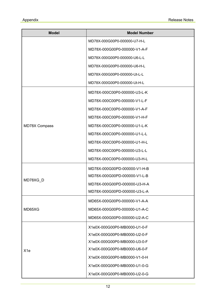| <b>Model</b>    | <b>Model Number</b>          |
|-----------------|------------------------------|
|                 | MD78X-000G00P0-000000-U7-H-L |
|                 | MD78X-000G00P0-000000-V1-A-F |
|                 | MD78X-000G00P0-000000-U6-L-L |
|                 | MD78X-000G00P0-000000-U6-H-L |
|                 | MD78X-000G00P0-000000-Ut-L-L |
|                 | MD78X-000G00P0-000000-Ut-H-L |
|                 | MD78X-000C00P0-000000-U3-L-K |
|                 | MD78X-000C00P0-000000-V1-L-F |
|                 | MD78X-000C00P0-000000-V1-A-F |
|                 | MD78X-000C00P0-000000-V1-H-F |
| MD78X Compass   | MD78X-000C00P0-000000-U1-L-K |
|                 | MD78X-000C00P0-000000-U1-L-L |
|                 | MD78X-000C00P0-000000-U1-H-L |
|                 | MD78X-000C00P0-000000-U3-L-L |
|                 | MD78X-000C00P0-000000-U3-H-L |
|                 | MD78X-000G00PD-000000-V1-H-B |
|                 | MD78X-000G00PD-000000-V1-L-B |
| MD78XG_D        | MD78X-000G00PD-000000-U3-H-A |
|                 | MD78X-000G00PD-000000-U3-L-A |
|                 | MD65X-000G00P0-000000-V1-A-A |
| MD65XG          | MD65X-000G00P0-000000-U1-A-C |
|                 | MD65X-000G00P0-000000-U2-A-C |
|                 | X1e0X-000G00P0-MB0000-U1-0-F |
|                 | X1e0X-000G00P0-MB0000-U2-0-F |
|                 | X1e0X-000G00P0-MB0000-U3-0-F |
| X <sub>1e</sub> | X1e0X-000G00P0-MB0000-U6-0-F |
|                 | X1e0X-000G00P0-MB0000-V1-0-H |
|                 | X1e0X-000G00P0-MB0000-U1-0-G |
|                 | X1e0X-000G00P0-MB0000-U2-0-G |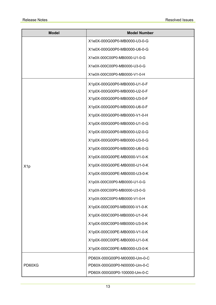| <b>Model</b>     | <b>Model Number</b>          |
|------------------|------------------------------|
|                  | X1e0X-000G00P0-MB0000-U3-0-G |
|                  | X1e0X-000G00P0-MB0000-U6-0-G |
|                  | X1e0X-000C00P0-MB0000-U1-0-G |
|                  | X1e0X-000C00P0-MB0000-U3-0-G |
|                  | X1e0X-000C00P0-MB0000-V1-0-H |
| X <sub>1</sub> p | X1p0X-000G00P0-MB0000-U1-0-F |
|                  | X1p0X-000G00P0-MB0000-U2-0-F |
|                  | X1p0X-000G00P0-MB0000-U3-0-F |
|                  | X1p0X-000G00P0-MB0000-U6-0-F |
|                  | X1p0X-000G00P0-MB0000-V1-0-H |
|                  | X1p0X-000G00P0-MB0000-U1-0-G |
|                  | X1p0X-000G00P0-MB0000-U2-0-G |
|                  | X1p0X-000G00P0-MB0000-U3-0-G |
|                  | X1p0X-000G00P0-MB0000-U6-0-G |
|                  | X1p0X-000G00PE-MB0000-V1-0-K |
|                  | X1p0X-000G00PE-MB0000-U1-0-K |
|                  | X1p0X-000G00PE-MB0000-U3-0-K |
|                  | X1p0X-000C00P0-MB0000-U1-0-G |
|                  | X1p0X-000C00P0-MB0000-U3-0-G |
|                  | X1p0X-000C00P0-MB0000-V1-0-H |
|                  | X1p0X-000C00P0-MB0000-V1-0-K |
|                  | X1p0X-000C00P0-MB0000-U1-0-K |
|                  | X1p0X-000C00P0-MB0000-U3-0-K |
|                  | X1p0X-000C00PE-MB0000-V1-0-K |
|                  | X1p0X-000C00PE-MB0000-U1-0-K |
|                  | X1p0X-000C00PE-MB0000-U3-0-K |
| PD60XG           | PD60X-000G00P0-M00000-Um-0-C |
|                  | PD60X-000G00P0-N00000-Um-0-C |
|                  | PD60X-000G00P0-100000-Um-0-C |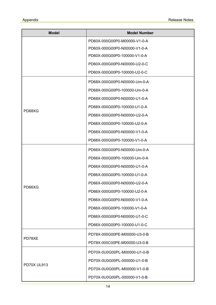| <b>Model</b>       | <b>Model Number</b>          |
|--------------------|------------------------------|
|                    | PD60X-000G00P0-M00000-V1-0-A |
|                    | PD60X-000G00P0-N00000-V1-0-A |
|                    | PD60X-000G00P0-100000-V1-0-A |
|                    | PD60X-000G00P0-N00000-U2-0-C |
|                    | PD60X-000G00P0-100000-U2-0-C |
|                    | PD68X-000G00P0-N00000-Um-0-A |
|                    | PD68X-000G00P0-100000-Um-0-A |
|                    | PD68X-000G00P0-N00000-U1-0-A |
| PD68XG             | PD68X-000G00P0-100000-U1-0-A |
|                    | PD68X-000G00P0-N00000-U2-0-A |
|                    | PD68X-000G00P0-100000-U2-0-A |
|                    | PD68X-000G00P0-N00000-V1-0-A |
|                    | PD68X-000G00P0-100000-V1-0-A |
|                    | PD66X-000G00P0-N00000-Um-0-A |
|                    | PD66X-000G00P0-100000-Um-0-A |
|                    | PD66X-000G00P0-N00000-U1-0-A |
|                    | PD66X-000G00P0-100000-U1-0-A |
|                    | PD66X-000G00P0-N00000-U2-0-A |
| PD66XG             | PD66X-000G00P0-100000-U2-0-A |
|                    | PD66X-000G00P0-N00000-V1-0-A |
|                    | PD66X-000G00P0-100000-V1-0-A |
|                    | PD66X-000G00P0-N00000-U1-0-C |
|                    | PD66X-000G00P0-100000-U1-0-C |
|                    | PD78X-000G00PE-M00000-U3-0-B |
| PD78XE             | PD78X-000C00PE-M00000-U3-0-B |
| <b>PD70X UL913</b> | PD70X-0U0G00PL-M00000-U1-0-B |
|                    | PD70X-0U0G00PL-000000-U1-0-B |
|                    | PD70X-0U0G00PL-M00000-V1-0-B |
|                    | PD70X-0U0G00PL-000000-V1-0-B |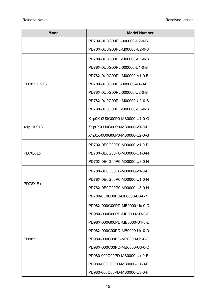| <b>Model</b>       | <b>Model Number</b>          |
|--------------------|------------------------------|
|                    | PD70X-0U0G00PL-000000-U2-0-B |
|                    | PD70X-0U0G00PL-M00000-U2-0-B |
| <b>PD78X UI913</b> | PD78X-0U0G00PL-M00000-U1-0-B |
|                    | PD78X-0U0G00PL-000000-U1-0-B |
|                    | PD78X-0U0G00PL-M00000-V1-0-B |
|                    | PD78X-0U0G00PL-000000-V1-0-B |
|                    | PD78X-0U0G00PL-000000-U2-0-B |
|                    | PD78X-0U0G00PL-M00000-U2-0-B |
|                    | PD78X-0U0G00PL-M00000-U3-0-B |
| X1p UL913          | X1p0X-0U0G00P0-MB0000-U1-0-G |
|                    | X1p0X-0U0G00P0-MB0000-V1-0-H |
|                    | X1p0X-0U0G00P0-MB0000-U2-0-G |
|                    | PD70X-0E0G00P0-M00000-V1-0-D |
| PD70X Ex           | PD70X-0E0G00P0-M00000-U1-0-N |
|                    | PD70X-0E0G00P0-M00000-U3-0-N |
|                    | PD78X-0E0G00P0-M00000-V1-0-D |
|                    | PD78X-0E0G00P0-M00000-U1-0-N |
| PD78X Ex           | PD78X-0E0G00P0-M00000-U3-0-N |
|                    | PD780-0E0C00P0-M00000-U3-0-N |
|                    | PD98X-000G00PD-MB0000-Ux-0-D |
|                    | PD98X-000G00PD-MB0000-U3-0-D |
|                    | PD98X-000G00PD-MB0000-U1-0-D |
|                    | PD98X-000C00PD-MB0000-Ux-0-D |
| PD98X              | PD98X-000C00PD-MB0000-U1-0-D |
|                    | PD98X-000C00PD-MB0000-U3-0-D |
|                    | PD980-000C00PD-MB0000-Ux-0-F |
|                    | PD980-000C00PD-MB0000-U1-0-F |
|                    | PD980-000C00PD-MB0000-U3-0-F |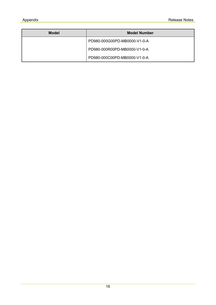| <b>Model</b> | <b>Model Number</b>          |
|--------------|------------------------------|
|              | PD980-000G00PD-MB0000-V1-0-A |
|              | PD980-000R00PD-MB0000-V1-0-A |
|              | PD980-000C00PD-MB0000-V1-0-A |